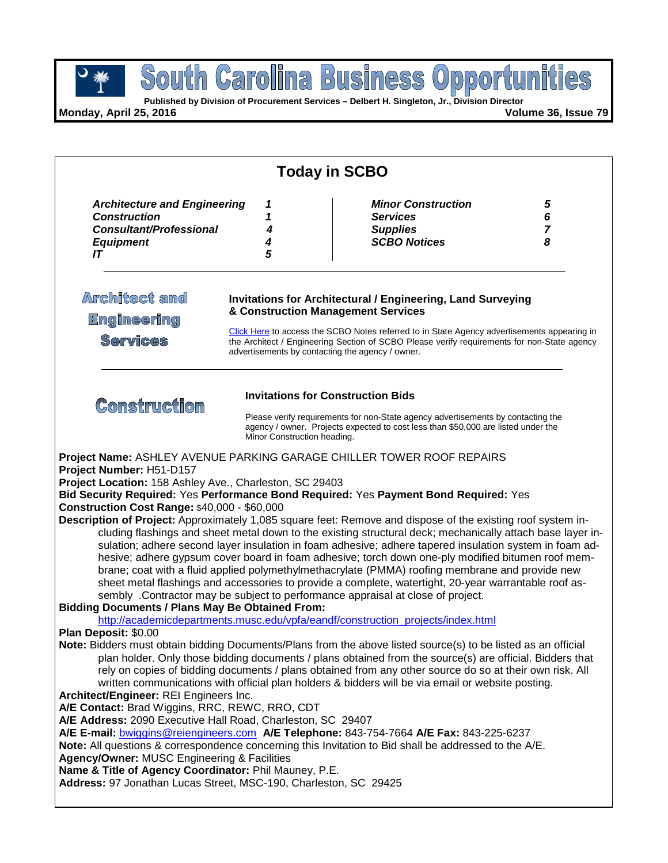**Published by Division of Procurement Services – Delbert H. Singleton, Jr., Division Director**

**Monday, April 25, 2016 Volume 36, Issue 79**

| <b>Today in SCBO</b>                                                                                                                                                                                                                                                                                                                                        |                             |                                                                                                                                                                                                                                                                                                                                                                                                                                                                                                                                                                                                                                                                                                                                                                                                                                                                                                                     |                               |  |  |
|-------------------------------------------------------------------------------------------------------------------------------------------------------------------------------------------------------------------------------------------------------------------------------------------------------------------------------------------------------------|-----------------------------|---------------------------------------------------------------------------------------------------------------------------------------------------------------------------------------------------------------------------------------------------------------------------------------------------------------------------------------------------------------------------------------------------------------------------------------------------------------------------------------------------------------------------------------------------------------------------------------------------------------------------------------------------------------------------------------------------------------------------------------------------------------------------------------------------------------------------------------------------------------------------------------------------------------------|-------------------------------|--|--|
| <b>Architecture and Engineering</b><br><b>Construction</b><br><b>Consultant/Professional</b><br><b>Equipment</b><br>IT                                                                                                                                                                                                                                      | 1<br>1<br>4<br>4<br>5       | <b>Minor Construction</b><br><b>Services</b><br><b>Supplies</b><br><b>SCBO Notices</b>                                                                                                                                                                                                                                                                                                                                                                                                                                                                                                                                                                                                                                                                                                                                                                                                                              | 5<br>6<br>$\overline{7}$<br>8 |  |  |
| <b>Architect and</b><br><b>Engineering</b><br><b>Services</b>                                                                                                                                                                                                                                                                                               |                             | Invitations for Architectural / Engineering, Land Surveying<br>& Construction Management Services<br>Click Here to access the SCBO Notes referred to in State Agency advertisements appearing in<br>the Architect / Engineering Section of SCBO Please verify requirements for non-State agency<br>advertisements by contacting the agency / owner.                                                                                                                                                                                                                                                                                                                                                                                                                                                                                                                                                                 |                               |  |  |
| <b>Comstruction</b>                                                                                                                                                                                                                                                                                                                                         | Minor Construction heading. | <b>Invitations for Construction Bids</b><br>Please verify requirements for non-State agency advertisements by contacting the<br>agency / owner. Projects expected to cost less than \$50,000 are listed under the                                                                                                                                                                                                                                                                                                                                                                                                                                                                                                                                                                                                                                                                                                   |                               |  |  |
| <b>Construction Cost Range: \$40,000 - \$60,000</b><br><b>Bidding Documents / Plans May Be Obtained From:</b>                                                                                                                                                                                                                                               |                             | Bid Security Required: Yes Performance Bond Required: Yes Payment Bond Required: Yes<br>Description of Project: Approximately 1,085 square feet: Remove and dispose of the existing roof system in-<br>cluding flashings and sheet metal down to the existing structural deck; mechanically attach base layer in-<br>sulation; adhere second layer insulation in foam adhesive; adhere tapered insulation system in foam ad-<br>hesive; adhere gypsum cover board in foam adhesive; torch down one-ply modified bitumen roof mem-<br>brane; coat with a fluid applied polymethylmethacrylate (PMMA) roofing membrane and provide new<br>sheet metal flashings and accessories to provide a complete, watertight, 20-year warrantable roof as-<br>sembly .Contractor may be subject to performance appraisal at close of project.<br>http://academicdepartments.musc.edu/vpfa/eandf/construction_projects/index.html |                               |  |  |
| Plan Deposit: \$0.00<br>Architect/Engineer: REI Engineers Inc.<br>A/E Contact: Brad Wiggins, RRC, REWC, RRO, CDT<br>A/E Address: 2090 Executive Hall Road, Charleston, SC 29407<br>Agency/Owner: MUSC Engineering & Facilities<br>Name & Title of Agency Coordinator: Phil Mauney, P.E.<br>Address: 97 Jonathan Lucas Street, MSC-190, Charleston, SC 29425 |                             | Note: Bidders must obtain bidding Documents/Plans from the above listed source(s) to be listed as an official<br>plan holder. Only those bidding documents / plans obtained from the source(s) are official. Bidders that<br>rely on copies of bidding documents / plans obtained from any other source do so at their own risk. All<br>written communications with official plan holders & bidders will be via email or website posting.<br>A/E E-mail: bwiggins@reiengineers.com A/E Telephone: 843-754-7664 A/E Fax: 843-225-6237<br>Note: All questions & correspondence concerning this Invitation to Bid shall be addressed to the A/E.                                                                                                                                                                                                                                                                       |                               |  |  |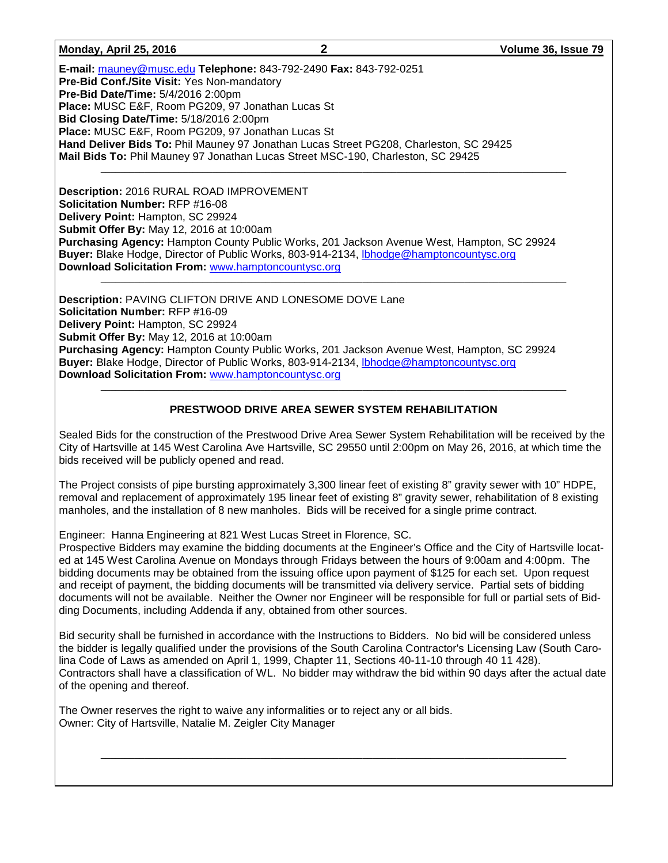### **Monday, April 25, 2016 2 Volume 36, Issue 79**

\_\_\_\_\_\_\_\_\_\_\_\_\_\_\_\_\_\_\_\_\_\_\_\_\_\_\_\_\_\_\_\_\_\_\_\_\_\_\_\_\_\_\_\_\_\_\_\_\_\_\_\_\_\_\_\_\_\_\_\_\_\_\_\_\_\_\_\_\_\_\_\_\_\_\_\_\_\_\_\_\_\_\_\_\_\_\_\_\_\_\_\_\_\_\_\_

**E-mail:** [mauney@musc.edu](mailto:mauney@musc.edu) **Telephone:** 843-792-2490 **Fax:** 843-792-0251 **Pre-Bid Conf./Site Visit:** Yes Non-mandatory **Pre-Bid Date/Time:** 5/4/2016 2:00pm **Place:** MUSC E&F, Room PG209, 97 Jonathan Lucas St **Bid Closing Date/Time:** 5/18/2016 2:00pm **Place:** MUSC E&F, Room PG209, 97 Jonathan Lucas St **Hand Deliver Bids To:** Phil Mauney 97 Jonathan Lucas Street PG208, Charleston, SC 29425 **Mail Bids To:** Phil Mauney 97 Jonathan Lucas Street MSC-190, Charleston, SC 29425

**Description:** 2016 RURAL ROAD IMPROVEMENT **Solicitation Number:** RFP #16-08 **Delivery Point:** Hampton, SC 29924 **Submit Offer By:** May 12, 2016 at 10:00am **Purchasing Agency:** Hampton County Public Works, 201 Jackson Avenue West, Hampton, SC 29924 **Buyer:** Blake Hodge, Director of Public Works, 803-914-2134, [lbhodge@hamptoncountysc.org](mailto:lbhodge@hamptoncountysc.org)  Download Solicitation From: [www.hamptoncountysc.org](http://www.hamptoncountysc.org/)

**Description:** PAVING CLIFTON DRIVE AND LONESOME DOVE Lane **Solicitation Number:** RFP #16-09 **Delivery Point:** Hampton, SC 29924 **Submit Offer By:** May 12, 2016 at 10:00am **Purchasing Agency:** Hampton County Public Works, 201 Jackson Avenue West, Hampton, SC 29924 **Buyer:** Blake Hodge, Director of Public Works, 803-914-2134, [lbhodge@hamptoncountysc.org](mailto:lbhodge@hamptoncountysc.org)  Download Solicitation From: [www.hamptoncountysc.org](http://www.hamptoncountysc.org/)

### **PRESTWOOD DRIVE AREA SEWER SYSTEM REHABILITATION**

Sealed Bids for the construction of the Prestwood Drive Area Sewer System Rehabilitation will be received by the City of Hartsville at 145 West Carolina Ave Hartsville, SC 29550 until 2:00pm on May 26, 2016, at which time the bids received will be publicly opened and read.

The Project consists of pipe bursting approximately 3,300 linear feet of existing 8" gravity sewer with 10" HDPE, removal and replacement of approximately 195 linear feet of existing 8" gravity sewer, rehabilitation of 8 existing manholes, and the installation of 8 new manholes. Bids will be received for a single prime contract.

Engineer: Hanna Engineering at 821 West Lucas Street in Florence, SC.

Prospective Bidders may examine the bidding documents at the Engineer's Office and the City of Hartsville located at 145 West Carolina Avenue on Mondays through Fridays between the hours of 9:00am and 4:00pm. The bidding documents may be obtained from the issuing office upon payment of \$125 for each set. Upon request and receipt of payment, the bidding documents will be transmitted via delivery service. Partial sets of bidding documents will not be available. Neither the Owner nor Engineer will be responsible for full or partial sets of Bidding Documents, including Addenda if any, obtained from other sources.

Bid security shall be furnished in accordance with the Instructions to Bidders. No bid will be considered unless the bidder is legally qualified under the provisions of the South Carolina Contractor's Licensing Law (South Carolina Code of Laws as amended on April 1, 1999, Chapter 11, Sections 40-11-10 through 40 11 428). Contractors shall have a classification of WL. No bidder may withdraw the bid within 90 days after the actual date of the opening and thereof.

\_\_\_\_\_\_\_\_\_\_\_\_\_\_\_\_\_\_\_\_\_\_\_\_\_\_\_\_\_\_\_\_\_\_\_\_\_\_\_\_\_\_\_\_\_\_\_\_\_\_\_\_\_\_\_\_\_\_\_\_\_\_\_\_\_\_\_\_\_\_\_\_\_\_\_\_\_\_\_\_\_\_\_\_\_\_\_\_\_\_\_\_\_\_\_\_

The Owner reserves the right to waive any informalities or to reject any or all bids. Owner: City of Hartsville, Natalie M. Zeigler City Manager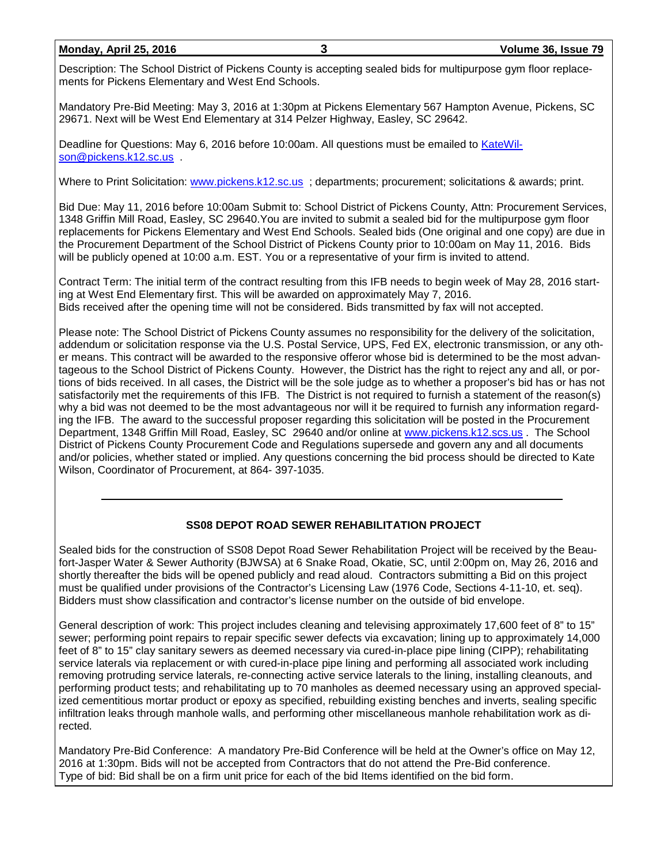### **Monday, April 25, 2016 3 Volume 36, Issue 79**

Description: The School District of Pickens County is accepting sealed bids for multipurpose gym floor replacements for Pickens Elementary and West End Schools.

Mandatory Pre-Bid Meeting: May 3, 2016 at 1:30pm at Pickens Elementary 567 Hampton Avenue, Pickens, SC 29671. Next will be West End Elementary at 314 Pelzer Highway, Easley, SC 29642.

Deadline for Questions: May 6, 2016 before 10:00am. All questions must be emailed to [KateWil](mailto:KateWilson@pickens.k12.sc.us)[son@pickens.k12.sc.us](mailto:KateWilson@pickens.k12.sc.us) .

Where to Print Solicitation: [www.pickens.k12.sc.us](http://www.pickens.k12.sc.us/) ; departments; procurement; solicitations & awards; print.

Bid Due: May 11, 2016 before 10:00am Submit to: School District of Pickens County, Attn: Procurement Services, 1348 Griffin Mill Road, Easley, SC 29640.You are invited to submit a sealed bid for the multipurpose gym floor replacements for Pickens Elementary and West End Schools. Sealed bids (One original and one copy) are due in the Procurement Department of the School District of Pickens County prior to 10:00am on May 11, 2016. Bids will be publicly opened at 10:00 a.m. EST. You or a representative of your firm is invited to attend.

Contract Term: The initial term of the contract resulting from this IFB needs to begin week of May 28, 2016 starting at West End Elementary first. This will be awarded on approximately May 7, 2016. Bids received after the opening time will not be considered. Bids transmitted by fax will not accepted.

Please note: The School District of Pickens County assumes no responsibility for the delivery of the solicitation, addendum or solicitation response via the U.S. Postal Service, UPS, Fed EX, electronic transmission, or any other means. This contract will be awarded to the responsive offeror whose bid is determined to be the most advantageous to the School District of Pickens County. However, the District has the right to reject any and all, or portions of bids received. In all cases, the District will be the sole judge as to whether a proposer's bid has or has not satisfactorily met the requirements of this IFB. The District is not required to furnish a statement of the reason(s) why a bid was not deemed to be the most advantageous nor will it be required to furnish any information regarding the IFB. The award to the successful proposer regarding this solicitation will be posted in the Procurement Department, 1348 Griffin Mill Road, Easley, SC 29640 and/or online at [www.pickens.k12.scs.us](http://www.pickens.k12.scs.us/) . The School District of Pickens County Procurement Code and Regulations supersede and govern any and all documents and/or policies, whether stated or implied. Any questions concerning the bid process should be directed to Kate Wilson, Coordinator of Procurement, at 864- 397-1035.

## **SS08 DEPOT ROAD SEWER REHABILITATION PROJECT**

Sealed bids for the construction of SS08 Depot Road Sewer Rehabilitation Project will be received by the Beaufort-Jasper Water & Sewer Authority (BJWSA) at 6 Snake Road, Okatie, SC, until 2:00pm on, May 26, 2016 and shortly thereafter the bids will be opened publicly and read aloud. Contractors submitting a Bid on this project must be qualified under provisions of the Contractor's Licensing Law (1976 Code, Sections 4-11-10, et. seq). Bidders must show classification and contractor's license number on the outside of bid envelope.

General description of work: This project includes cleaning and televising approximately 17,600 feet of 8" to 15" sewer; performing point repairs to repair specific sewer defects via excavation; lining up to approximately 14,000 feet of 8" to 15" clay sanitary sewers as deemed necessary via cured-in-place pipe lining (CIPP); rehabilitating service laterals via replacement or with cured-in-place pipe lining and performing all associated work including removing protruding service laterals, re-connecting active service laterals to the lining, installing cleanouts, and performing product tests; and rehabilitating up to 70 manholes as deemed necessary using an approved specialized cementitious mortar product or epoxy as specified, rebuilding existing benches and inverts, sealing specific infiltration leaks through manhole walls, and performing other miscellaneous manhole rehabilitation work as directed.

Mandatory Pre-Bid Conference: A mandatory Pre-Bid Conference will be held at the Owner's office on May 12, 2016 at 1:30pm. Bids will not be accepted from Contractors that do not attend the Pre-Bid conference. Type of bid: Bid shall be on a firm unit price for each of the bid Items identified on the bid form.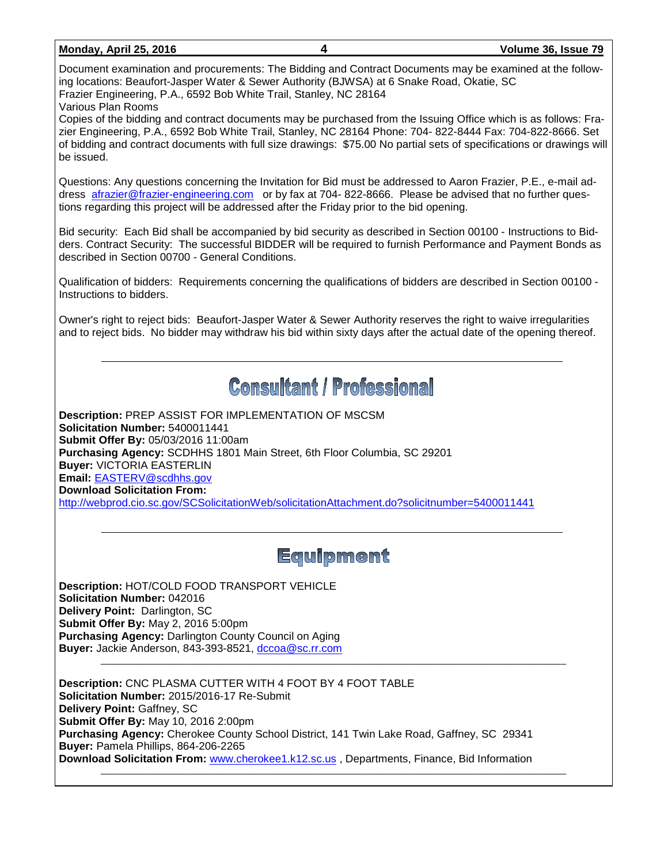| <u>Monday, April 25, 2016</u> |  |  |  |
|-------------------------------|--|--|--|
|-------------------------------|--|--|--|

## **Monday, April 25, 2016 4 Volume 36, Issue 79**

Document examination and procurements: The Bidding and Contract Documents may be examined at the following locations: Beaufort-Jasper Water & Sewer Authority (BJWSA) at 6 Snake Road, Okatie, SC Frazier Engineering, P.A., 6592 Bob White Trail, Stanley, NC 28164

Various Plan Rooms

Copies of the bidding and contract documents may be purchased from the Issuing Office which is as follows: Frazier Engineering, P.A., 6592 Bob White Trail, Stanley, NC 28164 Phone: 704- 822-8444 Fax: 704-822-8666. Set of bidding and contract documents with full size drawings: \$75.00 No partial sets of specifications or drawings will be issued.

Questions: Any questions concerning the Invitation for Bid must be addressed to Aaron Frazier, P.E., e-mail address [afrazier@frazier-engineering.com](mailto:afrazier@frazier-engineering.com) or by fax at 704- 822-8666. Please be advised that no further questions regarding this project will be addressed after the Friday prior to the bid opening.

Bid security: Each Bid shall be accompanied by bid security as described in Section 00100 - Instructions to Bidders. Contract Security: The successful BIDDER will be required to furnish Performance and Payment Bonds as described in Section 00700 - General Conditions.

Qualification of bidders: Requirements concerning the qualifications of bidders are described in Section 00100 - Instructions to bidders.

Owner's right to reject bids: Beaufort-Jasper Water & Sewer Authority reserves the right to waive irregularities and to reject bids. No bidder may withdraw his bid within sixty days after the actual date of the opening thereof.

## **Consultant / Professional**

**Description:** PREP ASSIST FOR IMPLEMENTATION OF MSCSM **Solicitation Number:** 5400011441 **Submit Offer By:** 05/03/2016 11:00am **Purchasing Agency:** SCDHHS 1801 Main Street, 6th Floor Columbia, SC 29201 **Buyer:** VICTORIA EASTERLIN **Email:** [EASTERV@scdhhs.gov](mailto:EASTERV@scdhhs.gov) **Download Solicitation From:**  <http://webprod.cio.sc.gov/SCSolicitationWeb/solicitationAttachment.do?solicitnumber=5400011441>

## Equipment

\_\_\_\_\_\_\_\_\_\_\_\_\_\_\_\_\_\_\_\_\_\_\_\_\_\_\_\_\_\_\_\_\_\_\_\_\_\_\_\_\_\_\_\_\_\_\_\_\_\_\_\_\_\_\_\_\_\_\_\_\_\_\_\_\_\_\_\_\_\_\_\_\_\_\_\_\_\_\_\_\_\_\_\_\_\_\_\_\_\_\_\_\_\_\_\_

**Description: HOT/COLD FOOD TRANSPORT VEHICLE Solicitation Number:** 042016 **Delivery Point:** Darlington, SC **Submit Offer By:** May 2, 2016 5:00pm **Purchasing Agency:** Darlington County Council on Aging **Buyer:** Jackie Anderson, 843-393-8521, [dccoa@sc.rr.com](mailto:dccoa@sc.rr.com)

**Description:** CNC PLASMA CUTTER WITH 4 FOOT BY 4 FOOT TABLE **Solicitation Number:** 2015/2016-17 Re-Submit **Delivery Point:** Gaffney, SC **Submit Offer By:** May 10, 2016 2:00pm **Purchasing Agency:** Cherokee County School District, 141 Twin Lake Road, Gaffney, SC 29341 **Buyer:** Pamela Phillips, 864-206-2265 **Download Solicitation From:** [www.cherokee1.k12.sc.us](http://www.cherokee1.k12.sc.us/) , Departments, Finance, Bid Information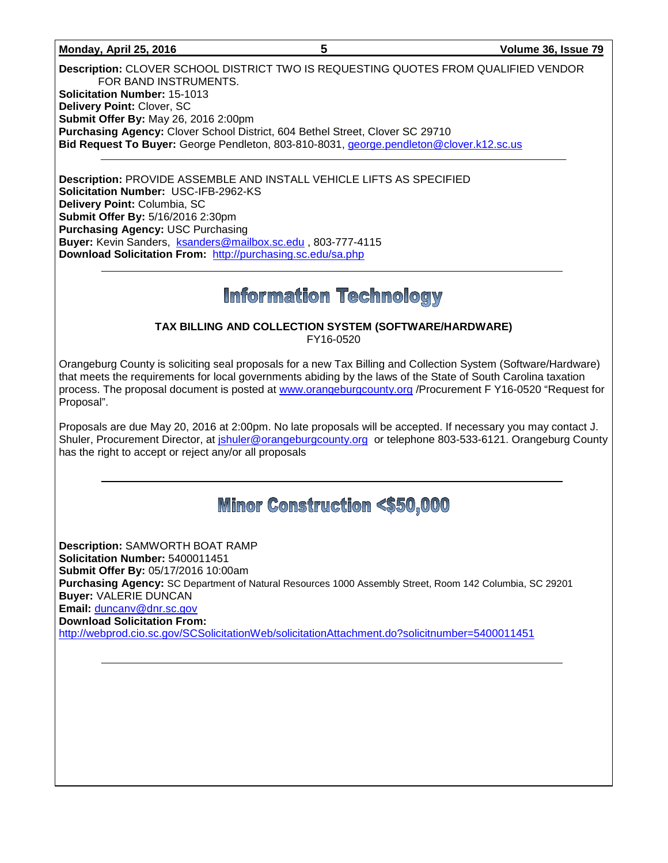### **Monday, April 25, 2016 5 Volume 36, Issue 79**

**Description:** CLOVER SCHOOL DISTRICT TWO IS REQUESTING QUOTES FROM QUALIFIED VENDOR FOR BAND INSTRUMENTS. **Solicitation Number:** 15-1013 **Delivery Point:** Clover, SC **Submit Offer By:** May 26, 2016 2:00pm **Purchasing Agency:** Clover School District, 604 Bethel Street, Clover SC 29710 Bid Request To Buyer: George Pendleton, 803-810-8031, [george.pendleton@clover.k12.sc.us](mailto:george.pendleton@clover.k12.sc.us)

**Description:** PROVIDE ASSEMBLE AND INSTALL VEHICLE LIFTS AS SPECIFIED **Solicitation Number:** USC-IFB-2962-KS **Delivery Point:** Columbia, SC **Submit Offer By:** 5/16/2016 2:30pm **Purchasing Agency:** USC Purchasing **Buyer:** Kevin Sanders, [ksanders@mailbox.sc.edu](mailto:ksanders@mailbox.sc.edu) , 803-777-4115 **Download Solicitation From:** <http://purchasing.sc.edu/sa.php>

## **Information Technology**

### **TAX BILLING AND COLLECTION SYSTEM (SOFTWARE/HARDWARE)** FY16-0520

Orangeburg County is soliciting seal proposals for a new Tax Billing and Collection System (Software/Hardware) that meets the requirements for local governments abiding by the laws of the State of South Carolina taxation process. The proposal document is posted at [www.orangeburgcounty.org](http://www.orangeburgcounty.org/) /Procurement F Y16-0520 "Request for Proposal".

Proposals are due May 20, 2016 at 2:00pm. No late proposals will be accepted. If necessary you may contact J. Shuler, Procurement Director, at [jshuler@orangeburgcounty.org](mailto:jshuler@orangeburgcounty.org) or telephone 803-533-6121. Orangeburg County has the right to accept or reject any/or all proposals

## **Minor Construction <\$50,000**

**Description:** SAMWORTH BOAT RAMP **Solicitation Number:** 5400011451 **Submit Offer By:** 05/17/2016 10:00am **Purchasing Agency:** SC Department of Natural Resources 1000 Assembly Street, Room 142 Columbia, SC 29201 **Buyer:** VALERIE DUNCAN **Email:** [duncanv@dnr.sc.gov](mailto:duncanv@dnr.sc.gov) **Download Solicitation From:**  <http://webprod.cio.sc.gov/SCSolicitationWeb/solicitationAttachment.do?solicitnumber=5400011451>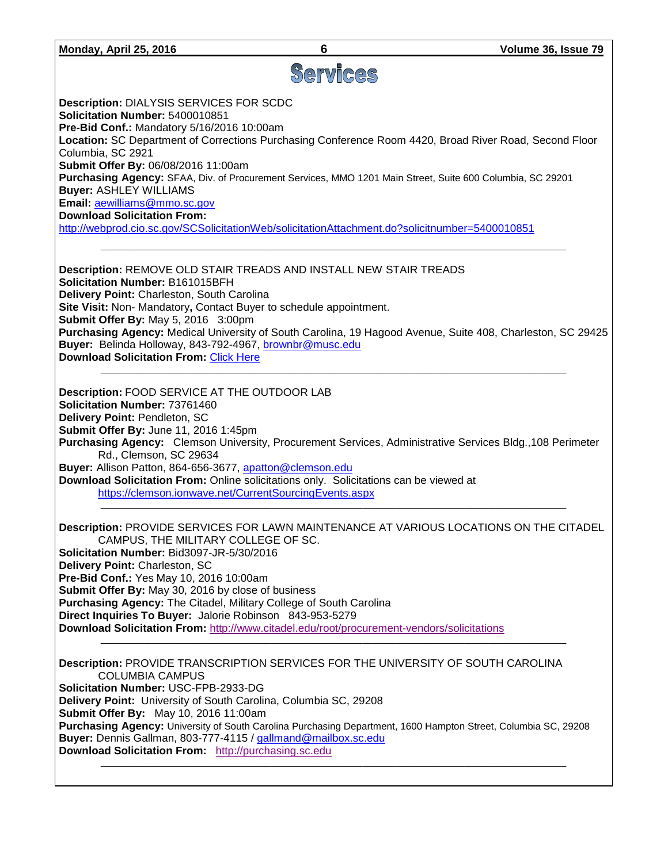| Volume 36, Issue 79 |  |  |
|---------------------|--|--|
|                     |  |  |

| Monday,<br>April 25, 2016 | Volume 36, Issue 79 |
|---------------------------|---------------------|
|                           |                     |

# Services

**Description:** DIALYSIS SERVICES FOR SCDC **Solicitation Number:** 5400010851

**Pre-Bid Conf.:** Mandatory 5/16/2016 10:00am

**Location:** SC Department of Corrections Purchasing Conference Room 4420, Broad River Road, Second Floor Columbia, SC 2921

**Submit Offer By:** 06/08/2016 11:00am

**Purchasing Agency:** SFAA, Div. of Procurement Services, MMO 1201 Main Street, Suite 600 Columbia, SC 29201 **Buyer:** ASHLEY WILLIAMS

**Email:** [aewilliams@mmo.sc.gov](mailto:aewilliams@mmo.sc.gov)

**Download Solicitation From:** 

<http://webprod.cio.sc.gov/SCSolicitationWeb/solicitationAttachment.do?solicitnumber=5400010851>

**Description:** REMOVE OLD STAIR TREADS AND INSTALL NEW STAIR TREADS **Solicitation Number:** B161015BFH **Delivery Point:** Charleston, South Carolina **Site Visit:** Non- Mandatory**,** Contact Buyer to schedule appointment. **Submit Offer By:** May 5, 2016 3:00pm **Purchasing Agency:** Medical University of South Carolina, 19 Hagood Avenue, Suite 408, Charleston, SC 29425 **Buyer:** Belinda Holloway, 843-792-4967, [brownbr@musc.edu](mailto:brownbr@musc.edu) **Download Solicitation From:** [Click Here](http://academicdepartments.musc.edu/vpfa/finance/purchasingap/vendors/solicit-awards/bids.htm)

\_\_\_\_\_\_\_\_\_\_\_\_\_\_\_\_\_\_\_\_\_\_\_\_\_\_\_\_\_\_\_\_\_\_\_\_\_\_\_\_\_\_\_\_\_\_\_\_\_\_\_\_\_\_\_\_\_\_\_\_\_\_\_\_\_\_\_\_\_\_\_\_\_\_\_\_\_\_\_\_\_\_\_\_\_\_\_\_\_\_\_\_\_\_\_\_

\_\_\_\_\_\_\_\_\_\_\_\_\_\_\_\_\_\_\_\_\_\_\_\_\_\_\_\_\_\_\_\_\_\_\_\_\_\_\_\_\_\_\_\_\_\_\_\_\_\_\_\_\_\_\_\_\_\_\_\_\_\_\_\_\_\_\_\_\_\_\_\_\_\_\_\_\_\_\_\_\_\_\_\_\_\_\_\_\_\_\_\_\_\_\_\_

**Description:** FOOD SERVICE AT THE OUTDOOR LAB **Solicitation Number:** 73761460 **Delivery Point:** Pendleton, SC **Submit Offer By:** June 11, 2016 1:45pm **Purchasing Agency:** Clemson University, Procurement Services, Administrative Services Bldg.,108 Perimeter Rd., Clemson, SC 29634 **Buyer:** Allison Patton, 864-656-3677, [apatton@clemson.edu](mailto:apatton@clemson.edu) **Download Solicitation From:** Online solicitations only. Solicitations can be viewed at

<https://clemson.ionwave.net/CurrentSourcingEvents.aspx>

**Description:** PROVIDE SERVICES FOR LAWN MAINTENANCE AT VARIOUS LOCATIONS ON THE CITADEL CAMPUS, THE MILITARY COLLEGE OF SC. **Solicitation Number:** Bid3097-JR-5/30/2016 **Delivery Point:** Charleston, SC **Pre-Bid Conf.:** Yes May 10, 2016 10:00am **Submit Offer By:** May 30, 2016 by close of business **Purchasing Agency:** The Citadel, Military College of South Carolina **Direct Inquiries To Buyer:** Jalorie Robinson843-953-5279

\_\_\_\_\_\_\_\_\_\_\_\_\_\_\_\_\_\_\_\_\_\_\_\_\_\_\_\_\_\_\_\_\_\_\_\_\_\_\_\_\_\_\_\_\_\_\_\_\_\_\_\_\_\_\_\_\_\_\_\_\_\_\_\_\_\_\_\_\_\_\_\_\_\_\_\_\_\_\_\_\_\_\_\_\_\_\_\_\_\_\_\_\_\_\_\_

**Download Solicitation From:** <http://www.citadel.edu/root/procurement-vendors/solicitations>

**Description:** PROVIDE TRANSCRIPTION SERVICES FOR THE UNIVERSITY OF SOUTH CAROLINA COLUMBIA CAMPUS **Solicitation Number:** USC-FPB-2933-DG **Delivery Point:** University of South Carolina, Columbia SC, 29208 **Submit Offer By:** May 10, 2016 11:00am **Purchasing Agency:** University of South Carolina Purchasing Department, 1600 Hampton Street, Columbia SC, 29208 **Buyer:** Dennis Gallman, 803-777-4115 / [gallmand@mailbox.sc.edu](mailto:gallmand@mailbox.sc.edu) **Download Solicitation From:** [http://purchasing.sc.edu](http://purchasing.sc.edu/)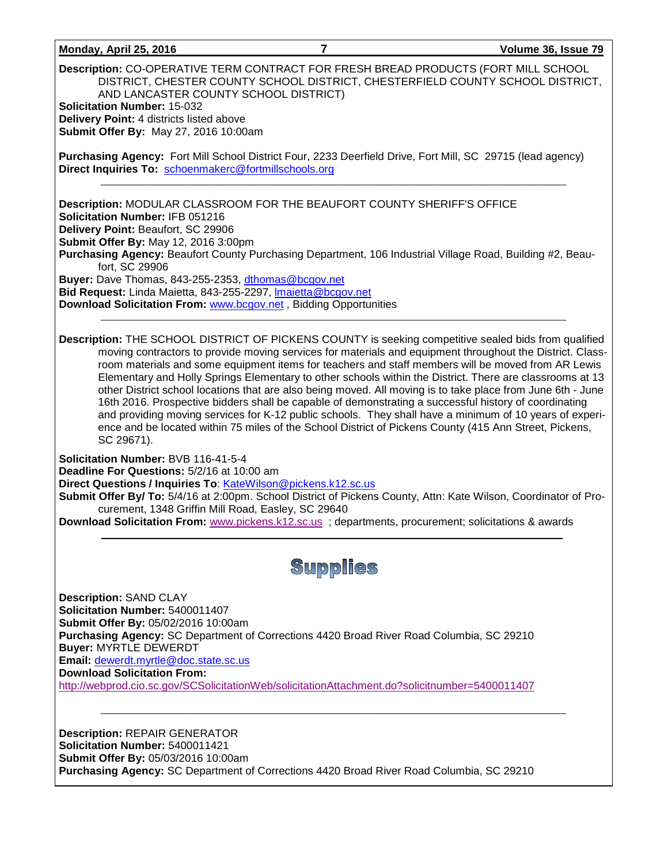### **Monday, April 25, 2016 7 Volume 36, Issue 79**

**Description:** CO-OPERATIVE TERM CONTRACT FOR FRESH BREAD PRODUCTS (FORT MILL SCHOOL DISTRICT, CHESTER COUNTY SCHOOL DISTRICT, CHESTERFIELD COUNTY SCHOOL DISTRICT, AND LANCASTER COUNTY SCHOOL DISTRICT) **Solicitation Number:** 15-032 **Delivery Point:** 4 districts listed above

**Submit Offer By:** May 27, 2016 10:00am

**Purchasing Agency:** Fort Mill School District Four, 2233 Deerfield Drive, Fort Mill, SC 29715 (lead agency) Direct Inquiries To: [schoenmakerc@fortmillschools.org](mailto:schoenmakerc@fortmillschools.org)

**Description:** MODULAR CLASSROOM FOR THE BEAUFORT COUNTY SHERIFF'S OFFICE **Solicitation Number:** IFB 051216 **Delivery Point:** Beaufort, SC 29906 **Submit Offer By:** May 12, 2016 3:00pm **Purchasing Agency:** Beaufort County Purchasing Department, 106 Industrial Village Road, Building #2, Beau-

fort, SC 29906

**Buyer:** Dave Thomas, 843-255-2353, [dthomas@bcgov.net](mailto:dthomas@bcgov.net)

**Bid Request:** Linda Maietta, 843-255-2297, [lmaietta@bcgov.net](mailto:lmaietta@bcgov.net)

**Download Solicitation From:** [www.bcgov.net](http://www.bcgov.net/) , Bidding Opportunities

**Description:** THE SCHOOL DISTRICT OF PICKENS COUNTY is seeking competitive sealed bids from qualified moving contractors to provide moving services for materials and equipment throughout the District. Classroom materials and some equipment items for teachers and staff members will be moved from AR Lewis Elementary and Holly Springs Elementary to other schools within the District. There are classrooms at 13 other District school locations that are also being moved. All moving is to take place from June 6th - June 16th 2016. Prospective bidders shall be capable of demonstrating a successful history of coordinating and providing moving services for K-12 public schools. They shall have a minimum of 10 years of experience and be located within 75 miles of the School District of Pickens County (415 Ann Street, Pickens, SC 29671).

\_\_\_\_\_\_\_\_\_\_\_\_\_\_\_\_\_\_\_\_\_\_\_\_\_\_\_\_\_\_\_\_\_\_\_\_\_\_\_\_\_\_\_\_\_\_\_\_\_\_\_\_\_\_\_\_\_\_\_\_\_\_\_\_\_\_\_\_\_\_\_\_\_\_\_\_\_\_\_\_\_\_\_\_\_\_\_\_\_\_\_\_\_\_\_\_

**Solicitation Number:** BVB 116-41-5-4

**Deadline For Questions:** 5/2/16 at 10:00 am

**Direct Questions / Inquiries To: [KateWilson@pickens.k12.sc.us](mailto:KateWilson@pickens.k12.sc.us)** 

**Submit Offer By/ To:** 5/4/16 at 2:00pm. School District of Pickens County, Attn: Kate Wilson, Coordinator of Procurement, 1348 Griffin Mill Road, Easley, SC 29640

**Download Solicitation From:** [www.pickens.k12.sc.us](http://www.pickens.k12.sc.us/) ; departments, procurement; solicitations & awards

## **Supplies**

\_\_\_\_\_\_\_\_\_\_\_\_\_\_\_\_\_\_\_\_\_\_\_\_\_\_\_\_\_\_\_\_\_\_\_\_\_\_\_\_\_\_\_\_\_\_\_\_\_\_\_\_\_\_\_\_\_\_\_\_\_\_\_\_\_\_\_\_\_\_\_\_\_\_\_\_\_\_\_\_\_\_\_\_\_\_\_\_\_\_\_\_\_\_\_\_

**Description:** SAND CLAY **Solicitation Number:** 5400011407 **Submit Offer By:** 05/02/2016 10:00am **Purchasing Agency:** SC Department of Corrections 4420 Broad River Road Columbia, SC 29210 **Buyer:** MYRTLE DEWERDT **Email:** [dewerdt.myrtle@doc.state.sc.us](mailto:dewerdt.myrtle@doc.state.sc.us) **Download Solicitation From:**  <http://webprod.cio.sc.gov/SCSolicitationWeb/solicitationAttachment.do?solicitnumber=5400011407>

**Description:** REPAIR GENERATOR **Solicitation Number:** 5400011421 **Submit Offer By:** 05/03/2016 10:00am **Purchasing Agency:** SC Department of Corrections 4420 Broad River Road Columbia, SC 29210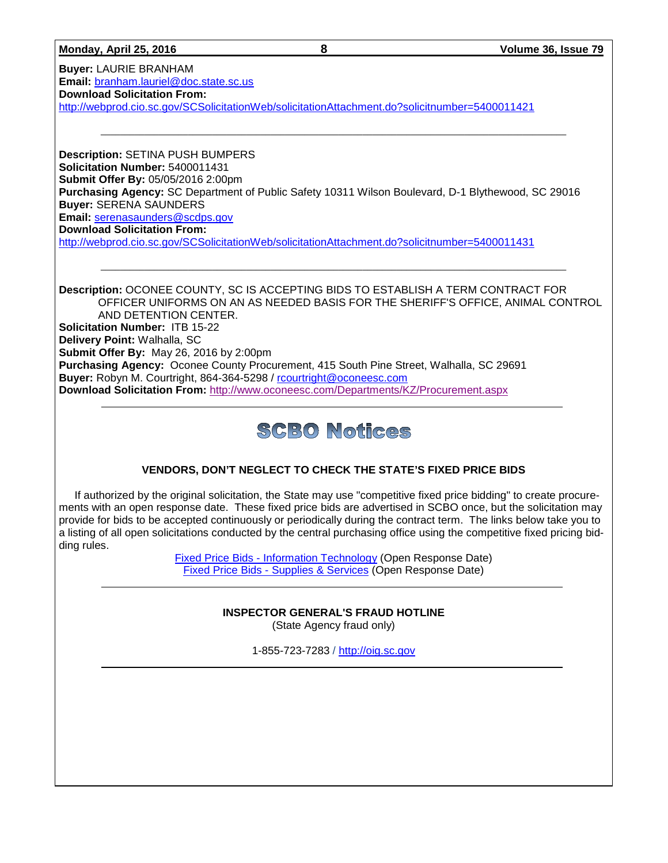### **Monday, April 25, 2016 8 Volume 36, Issue 79**

**Buyer:** LAURIE BRANHAM **Email:** [branham.lauriel@doc.state.sc.us](mailto:branham.lauriel@doc.state.sc.us) **Download Solicitation From:**  <http://webprod.cio.sc.gov/SCSolicitationWeb/solicitationAttachment.do?solicitnumber=5400011421>

**Description:** SETINA PUSH BUMPERS **Solicitation Number:** 5400011431 **Submit Offer By:** 05/05/2016 2:00pm **Purchasing Agency:** SC Department of Public Safety 10311 Wilson Boulevard, D-1 Blythewood, SC 29016 **Buyer:** SERENA SAUNDERS **Email:** [serenasaunders@scdps.gov](mailto:serenasaunders@scdps.gov) **Download Solicitation From:**  <http://webprod.cio.sc.gov/SCSolicitationWeb/solicitationAttachment.do?solicitnumber=5400011431>

**Description:** OCONEE COUNTY, SC IS ACCEPTING BIDS TO ESTABLISH A TERM CONTRACT FOR OFFICER UNIFORMS ON AN AS NEEDED BASIS FOR THE SHERIFF'S OFFICE, ANIMAL CONTROL AND DETENTION CENTER. **Solicitation Number:** ITB 15-22 **Delivery Point:** Walhalla, SC **Submit Offer By:** May 26, 2016 by 2:00pm **Purchasing Agency:** Oconee County Procurement, 415 South Pine Street, Walhalla, SC 29691 Buver: Robyn M. Courtright, 864-364-5298 / [rcourtright@oconeesc.com](mailto:rcourtright@oconeesc.com) **Download Solicitation From:** <http://www.oconeesc.com/Departments/KZ/Procurement.aspx>

\_\_\_\_\_\_\_\_\_\_\_\_\_\_\_\_\_\_\_\_\_\_\_\_\_\_\_\_\_\_\_\_\_\_\_\_\_\_\_\_\_\_\_\_\_\_\_\_\_\_\_\_\_\_\_\_\_\_\_\_\_\_\_\_\_\_\_\_\_\_\_\_\_\_\_\_\_\_\_\_\_\_\_\_\_\_\_\_\_\_\_\_\_\_\_\_

## **SCBO Notices**

## **VENDORS, DON'T NEGLECT TO CHECK THE STATE'S FIXED PRICE BIDS**

If authorized by the original solicitation, the State may use "competitive fixed price bidding" to create procurements with an open response date. These fixed price bids are advertised in SCBO once, but the solicitation may provide for bids to be accepted continuously or periodically during the contract term. The links below take you to a listing of all open solicitations conducted by the central purchasing office using the competitive fixed pricing bidding rules.

> Fixed Price Bids - [Information Technology](http://www.mmo.sc.gov/PS/vendor/PS-vendor-fixed-price-bids-it.phtm) (Open Response Date) Fixed Price Bids - [Supplies & Services](http://www.mmo.sc.gov/PS/vendor/PS-vendor-fixed-price-bids-ss.phtm) (Open Response Date)

## **INSPECTOR GENERAL'S FRAUD HOTLINE**

(State Agency fraud only)

1-855-723-7283 / [http://oig.sc.gov](http://oig.sc.gov/)

\_\_\_\_\_\_\_\_\_\_\_\_\_\_\_\_\_\_\_\_\_\_\_\_\_\_\_\_\_\_\_\_\_\_\_\_\_\_\_\_\_\_\_\_\_\_\_\_\_\_\_\_\_\_\_\_\_\_\_\_\_\_\_\_\_\_\_\_\_\_\_\_\_\_\_\_\_\_\_\_\_\_\_\_\_\_\_\_\_\_\_\_\_\_\_\_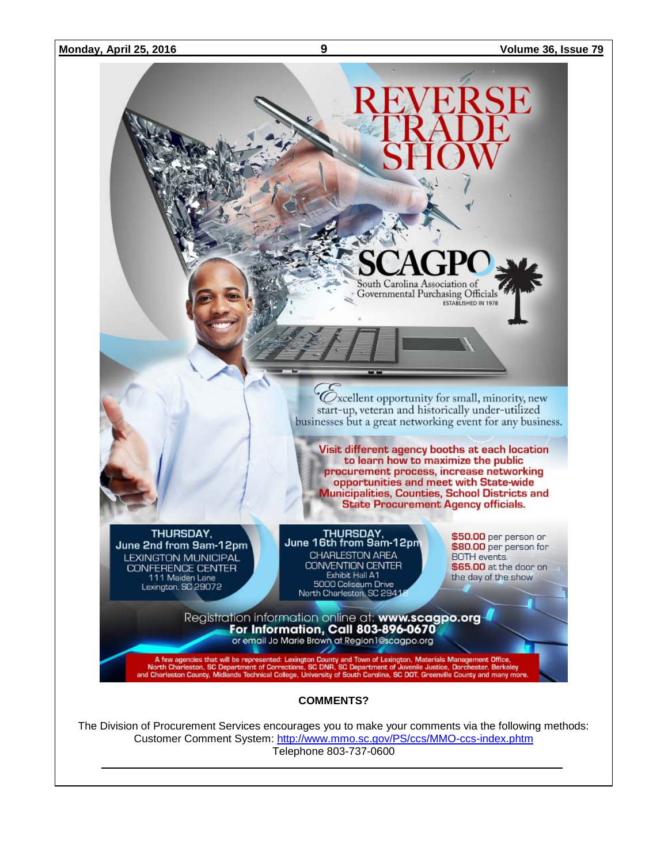

Customer Comment System:<http://www.mmo.sc.gov/PS/ccs/MMO-ccs-index.phtm>

Telephone 803-737-0600